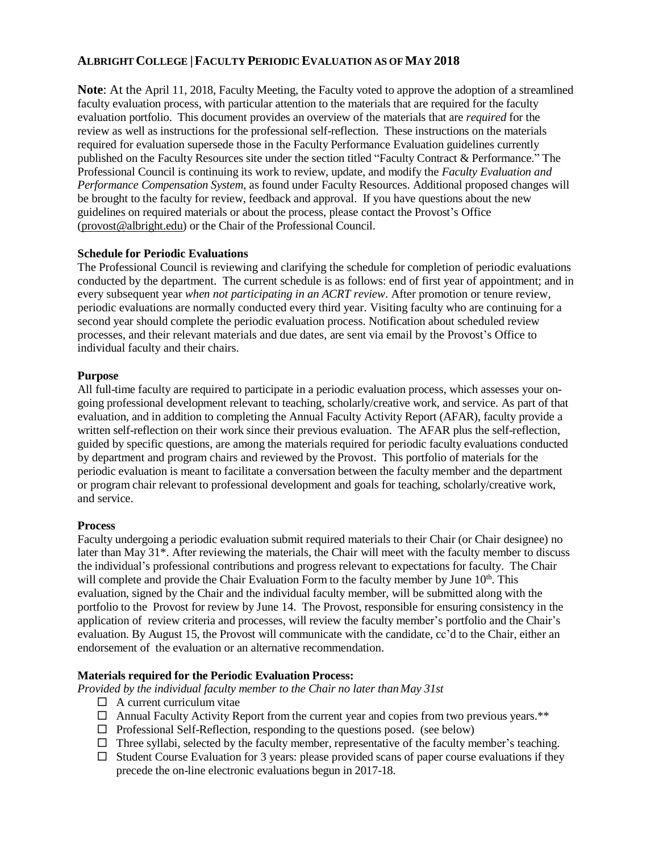# **ALBRIGHT COLLEGE |FACULTY PERIODIC EVALUATION AS OFMAY 2018**

**Note**: At the April 11, 2018, Faculty Meeting, the Faculty voted to approve the adoption of a streamlined faculty evaluation process, with particular attention to the materials that are required for the faculty evaluation portfolio. This document provides an overview of the materials that are *required* for the review as well as instructions for the professional self-reflection. These instructions on the materials required for evaluation supersede those in the Faculty Performance Evaluation guidelines currently published on the Faculty Resources site under the section titled "Faculty Contract & Performance." The Professional Council is continuing its work to review, update, and modify the *Faculty Evaluation and Performance Compensation System*, as found under Faculty Resources. Additional proposed changes will be brought to the faculty for review, feedback and approval. If you have questions about the new guidelines on required materials or about the process, please contact the Provost's Office [\(provost@albright.edu\)](mailto:provost@albright.edu) or the Chair of the Professional Council.

#### **Schedule for Periodic Evaluations**

The Professional Council is reviewing and clarifying the schedule for completion of periodic evaluations conducted by the department. The current schedule is as follows: end of first year of appointment; and in every subsequent year *when not participating in an ACRT review*. After promotion or tenure review, periodic evaluations are normally conducted every third year. Visiting faculty who are continuing for a second year should complete the periodic evaluation process. Notification about scheduled review processes, and their relevant materials and due dates, are sent via email by the Provost's Office to individual faculty and their chairs.

#### **Purpose**

All full-time faculty are required to participate in a periodic evaluation process, which assesses your ongoing professional development relevant to teaching, scholarly/creative work, and service. As part of that evaluation, and in addition to completing the Annual Faculty Activity Report (AFAR), faculty provide a written self-reflection on their work since their previous evaluation. The AFAR plus the self-reflection, guided by specific questions, are among the materials required for periodic faculty evaluations conducted by department and program chairs and reviewed by the Provost. This portfolio of materials for the periodic evaluation is meant to facilitate a conversation between the faculty member and the department or program chair relevant to professional development and goals for teaching, scholarly/creative work, and service.

# **Process**

Faculty undergoing a periodic evaluation submit required materials to their Chair (or Chair designee) no later than May 31\*. After reviewing the materials, the Chair will meet with the faculty member to discuss the individual's professional contributions and progress relevant to expectations for faculty. The Chair will complete and provide the Chair Evaluation Form to the faculty member by June 10<sup>th</sup>. This evaluation, signed by the Chair and the individual faculty member, will be submitted along with the portfolio to the Provost for review by June 14. The Provost, responsible for ensuring consistency in the application of review criteria and processes, will review the faculty member's portfolio and the Chair's evaluation. By August 15, the Provost will communicate with the candidate, cc'd to the Chair, either an endorsement of the evaluation or an alternative recommendation.

# **Materials required for the Periodic Evaluation Process:**

*Provided by the individual faculty member to the Chair no later thanMay 31st*

- $\Box$  A current curriculum vitae
- $\Box$  Annual Faculty Activity Report from the current year and copies from two previous years.\*\*
- $\Box$  Professional Self-Reflection, responding to the questions posed. (see below)
- $\Box$  Three syllabi, selected by the faculty member, representative of the faculty member's teaching.
- $\Box$  Student Course Evaluation for 3 years: please provided scans of paper course evaluations if they precede the on-line electronic evaluations begun in 2017-18.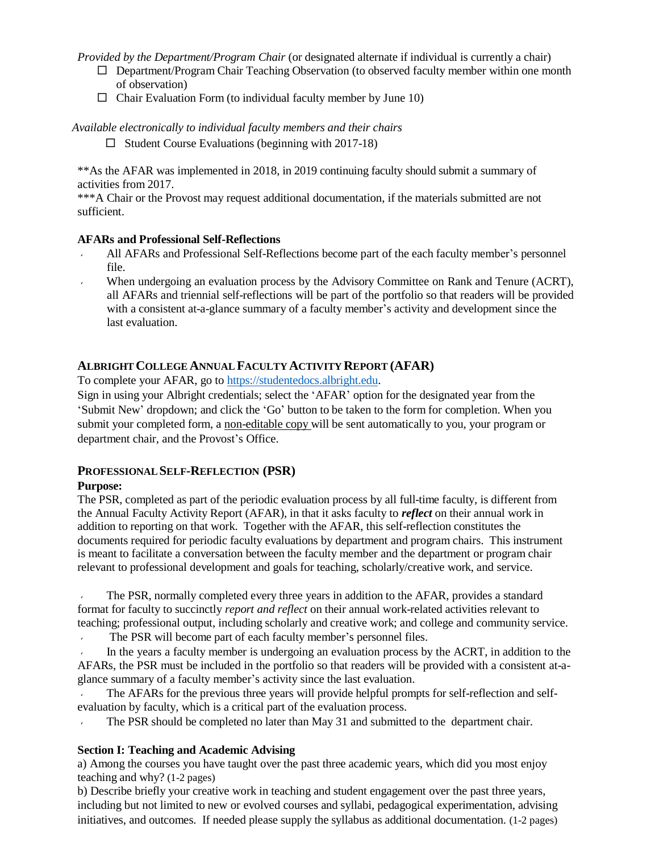*Provided by the Department/Program Chair* (or designated alternate if individual is currently a chair)

- $\Box$  Department/Program Chair Teaching Observation (to observed faculty member within one month of observation)
- $\Box$  Chair Evaluation Form (to individual faculty member by June 10)

*Available electronically to individual faculty members and their chairs*

 $\Box$  Student Course Evaluations (beginning with 2017-18)

\*\*As the AFAR was implemented in 2018, in 2019 continuing faculty should submit a summary of activities from 2017.

\*\*\*A Chair or the Provost may request additional documentation, if the materials submitted are not sufficient.

#### **AFARs and Professional Self-Reflections**

- All AFARs and Professional Self-Reflections become part of the each faculty member's personnel file.
- When undergoing an evaluation process by the Advisory Committee on Rank and Tenure (ACRT), all AFARs and triennial self-reflections will be part of the portfolio so that readers will be provided with a consistent at-a-glance summary of a faculty member's activity and development since the last evaluation.

# **ALBRIGHTCOLLEGE ANNUAL FACULTY ACTIVITY REPORT (AFAR)**

To complete your AFAR, go to [https://studentedocs.albright.edu.](https://studentedocs.albright.edu/)

Sign in using your Albright credentials; select the 'AFAR' option for the designated year from the 'Submit New' dropdown; and click the 'Go' button to be taken to the form for completion. When you submit your completed form, a non-editable copy will be sent automatically to you, your program or department chair, and the Provost's Office.

# **PROFESSIONALSELF-REFLECTION (PSR)**

# **Purpose:**

The PSR, completed as part of the periodic evaluation process by all full-time faculty, is different from the Annual Faculty Activity Report (AFAR), in that it asks faculty to *reflect* on their annual work in addition to reporting on that work. Together with the AFAR, this self-reflection constitutes the documents required for periodic faculty evaluations by department and program chairs. This instrument is meant to facilitate a conversation between the faculty member and the department or program chair relevant to professional development and goals for teaching, scholarly/creative work, and service.

The PSR, normally completed every three years in addition to the AFAR, provides a standard format for faculty to succinctly *report and reflect* on their annual work-related activities relevant to teaching; professional output, including scholarly and creative work; and college and community service.

The PSR will become part of each faculty member's personnel files.

In the years a faculty member is undergoing an evaluation process by the ACRT, in addition to the AFARs, the PSR must be included in the portfolio so that readers will be provided with a consistent at-aglance summary of a faculty member's activity since the last evaluation.

The AFARs for the previous three years will provide helpful prompts for self-reflection and selfevaluation by faculty, which is a critical part of the evaluation process.

The PSR should be completed no later than May 31 and submitted to the department chair.

# **Section I: Teaching and Academic Advising**

a) Among the courses you have taught over the past three academic years, which did you most enjoy teaching and why? (1-2 pages)

b) Describe briefly your creative work in teaching and student engagement over the past three years, including but not limited to new or evolved courses and syllabi, pedagogical experimentation, advising initiatives, and outcomes. If needed please supply the syllabus as additional documentation. (1-2 pages)